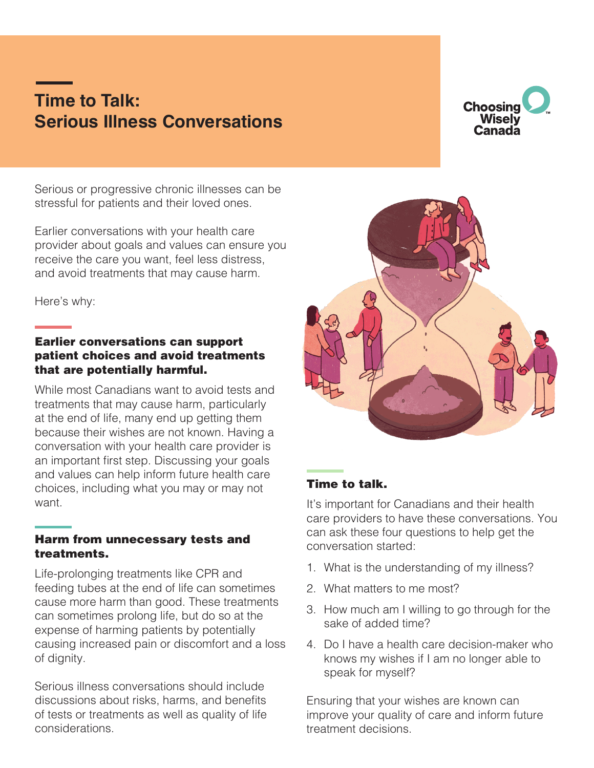# **Time to Talk: Serious Illness Conversations**



Serious or progressive chronic illnesses can be stressful for patients and their loved ones.

Earlier conversations with your health care provider about goals and values can ensure you receive the care you want, feel less distress, and avoid treatments that may cause harm.

Here's why:

### Earlier conversations can support patient choices and avoid treatments that are potentially harmful.

While most Canadians want to avoid tests and treatments that may cause harm, particularly at the end of life, many end up getting them because their wishes are not known. Having a conversation with your health care provider is an important first step. Discussing your goals and values can help inform future health care choices, including what you may or may not want.

#### Harm from unnecessary tests and treatments.

Life-prolonging treatments like CPR and feeding tubes at the end of life can sometimes cause more harm than good. These treatments can sometimes prolong life, but do so at the expense of harming patients by potentially causing increased pain or discomfort and a loss of dignity.

Serious illness conversations should include discussions about risks, harms, and benefits of tests or treatments as well as quality of life considerations.



## Time to talk.

It's important for Canadians and their health care providers to have these conversations. You can ask these four questions to help get the conversation started:

- 1. What is the understanding of my illness?
- 2. What matters to me most?
- 3. How much am I willing to go through for the sake of added time?
- 4. Do I have a health care decision-maker who knows my wishes if I am no longer able to speak for myself?

Ensuring that your wishes are known can improve your quality of care and inform future treatment decisions.